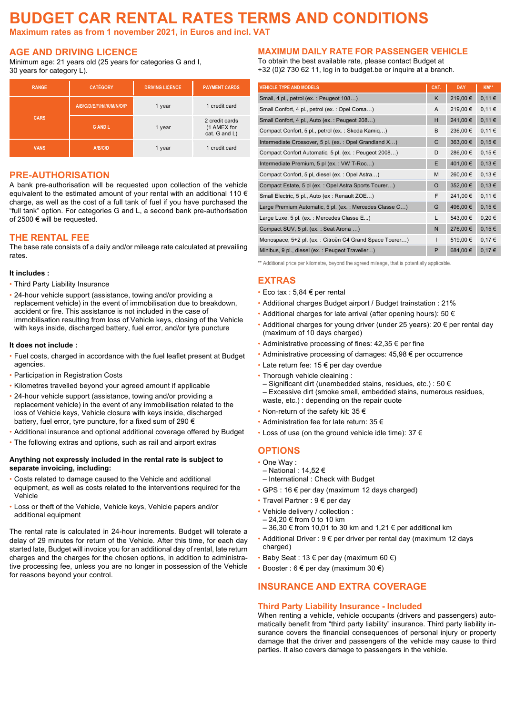# **BUDGET CAR RENTAL RATES TERMS AND CONDITIONS**

**Maximum rates as from 1 november 2021, in Euros and incl. VAT**

# **AGE AND DRIVING LICENCE**

Minimum age: 21 years old (25 years for categories G and I, 30 years for category L).

| <b>RANGE</b> | <b>CATÉGORY</b>           | <b>DRIVING LICENCE</b> | <b>PAYMENT CARDS</b>                           |  |
|--------------|---------------------------|------------------------|------------------------------------------------|--|
|              | A/B/C/D/E/F/H/I/K/M/N/O/P | 1 year                 | 1 credit card                                  |  |
| <b>CARS</b>  | <b>GANDL</b>              | 1 year                 | 2 credit cards<br>(1 AMEX for<br>cat. G and L) |  |
| <b>VANS</b>  | A/B/C/D                   | 1 year                 | 1 credit card                                  |  |

# **PRE-AUTHORISATION**

A bank pre-authorisation will be requested upon collection of the vehicle equivalent to the estimated amount of your rental with an additional 110  $\epsilon$ charge, as well as the cost of a full tank of fuel if you have purchased the "full tank" option. For categories G and L, a second bank pre-authorisation of 2500 € will be requested.

#### **THE RENTAL FEE**

The base rate consists of a daily and/or mileage rate calculated at prevailing rates.

#### **It includes :**

- Third Party Liability Insurance
- ! 24-hour vehicle support (assistance, towing and/or providing a replacement vehicle) in the event of immobilisation due to breakdown, accident or fire. This assistance is not included in the case of immobilisation resulting from loss of Vehicle keys, closing of the Vehicle with keys inside, discharged battery, fuel error, and/or tyre puncture

#### **It does not include :**

- ! Fuel costs, charged in accordance with the fuel leaflet present at Budget agencies.
- **.** Participation in Registration Costs
- ! Kilometres travelled beyond your agreed amount if applicable
- ! 24-hour vehicle support (assistance, towing and/or providing a replacement vehicle) in the event of any immobilisation related to the loss of Vehicle keys, Vehicle closure with keys inside, discharged battery, fuel error, tyre puncture, for a fixed sum of 290 €
- ! Additional insurance and optional additional coverage offered by Budget
- ! The following extras and options, such as rail and airport extras

#### **Anything not expressly included in the rental rate is subject to separate invoicing, including:**

- . Costs related to damage caused to the Vehicle and additional equipment, as well as costs related to the interventions required for the Vehicle
- ! Loss or theft of the Vehicle, Vehicle keys, Vehicle papers and/or additional equipment

The rental rate is calculated in 24-hour increments. Budget will tolerate a delay of 29 minutes for return of the Vehicle. After this time, for each day started late, Budget will invoice you for an additional day of rental, late return charges and the charges for the chosen options, in addition to administrative processing fee, unless you are no longer in possession of the Vehicle for reasons beyond your control.

# **MAXIMUM DAILY RATE FOR PASSENGER VEHICLE**

To obtain the best available rate, please contact Budget at +32 (0)2 730 62 11, log in to budget.be or inquire at a branch.

| <b>VEHICLE TYPE AND MODELS</b>                          | CAT.     | <b>DAY</b> | KM**       |
|---------------------------------------------------------|----------|------------|------------|
| Small, 4 pl., petrol (ex.: Peugeot 108)                 | K        | 219,00€    | 0,11€      |
| Small Confort, 4 pl., petrol (ex.: Opel Corsa)          | A        | 219,00€    | 0,11€      |
| Small Confort, 4 pl., Auto (ex.: Peugeot 208)           | H        | 241,00 €   | 0,11€      |
| Compact Confort, 5 pl., petrol (ex.: Skoda Kamiq)       | B        | 236,00 €   | 0,11€      |
| Intermediate Crossover, 5 pl. (ex.: Opel Grandland X)   | C        | 363,00 €   | 0,15€      |
| Compact Confort Automatic, 5 pl. (ex.: Peugeot 2008)    | D        | 286,00€    | 0,15€      |
| Intermediate Premium, 5 pl (ex.: VW T-Roc)              | E        | 401,00 €   | 0,13€      |
| Compact Confort, 5 pl, diesel (ex.: Opel Astra)         | M        | 260,00€    | 0,13€      |
| Compact Estate, 5 pl (ex.: Opel Astra Sports Tourer)    | $\Omega$ | 352,00 €   | 0,13€      |
| Small Electric, 5 pl., Auto (ex: Renault ZOE)           | F        | 241,00€    | 0,11€      |
| Large Premium Automatic, 5 pl. (ex.: Mercedes Classe C) | G        | 496,00 €   | $0,15 \in$ |
| Large Luxe, 5 pl. (ex.: Mercedes Classe E)              | L        | 543,00 €   | 0,20€      |
| Compact SUV, 5 pl. (ex.: Seat Arona )                   | N        | 276,00 €   | 0,15€      |
| Monospace, 5+2 pl. (ex.: Citroën C4 Grand Space Tourer) | T        | 519,00 €   | 0,17€      |
| Minibus, 9 pl., diesel (ex.: Peugeot Traveller)         | P        | 684,00 €   | 0,17€      |

\*\* Additional price per kilometre, beyond the agreed mileage, that is potentially applicable.

# **EXTRAS**

- $\cdot$  Eco tax : 5,84  $\in$  per rental
- ! Additional charges Budget airport / Budget trainstation : 21%
- $\cdot$  Additional charges for late arrival (after opening hours): 50  $\epsilon$
- . Additional charges for young driver (under 25 years): 20  $\epsilon$  per rental day (maximum of 10 days charged)
- $\cdot$  Administrative processing of fines: 42,35 € per fine
- $\cdot$  Administrative processing of damages: 45,98  $\epsilon$  per occurrence
- $\cdot$  Late return fee: 15  $\epsilon$  per day overdue
- Thorough vehicle cleaining :
- Significant dirt (unembedded stains, residues, etc.) : 50 € – Excessive dirt (smoke smell, embedded stains, numerous residues, waste, etc.) : depending on the repair quote
- $\cdot$  Non-return of the safety kit: 35  $\epsilon$
- ! Administration fee for late return: 35 €
- $\cdot$  Loss of use (on the ground vehicle idle time): 37  $\epsilon$

#### **OPTIONS**

- ! One Way :
- National : 14,52 €
- International : Check with Budget
- $\cdot$  GPS : 16  $\epsilon$  per day (maximum 12 days charged)
- Travel Partner : 9 € per day
- ! Vehicle delivery / collection :
- 24,20 € from 0 to 10 km
- $-36,30 \notin$  from 10,01 to 30 km and 1,21 € per additional km
- ! Additional Driver : 9 € per driver per rental day (maximum 12 days charged)
- $\cdot$  Baby Seat : 13 € per day (maximum 60 €)
- $\cdot$  Booster : 6 € per day (maximum 30 €)

# **INSURANCE AND EXTRA COVERAGE**

#### **Third Party Liability Insurance - Included**

When renting a vehicle, vehicle occupants (drivers and passengers) automatically benefit from "third party liability" insurance. Third party liability insurance covers the financial consequences of personal injury or property damage that the driver and passengers of the vehicle may cause to third parties. It also covers damage to passengers in the vehicle.